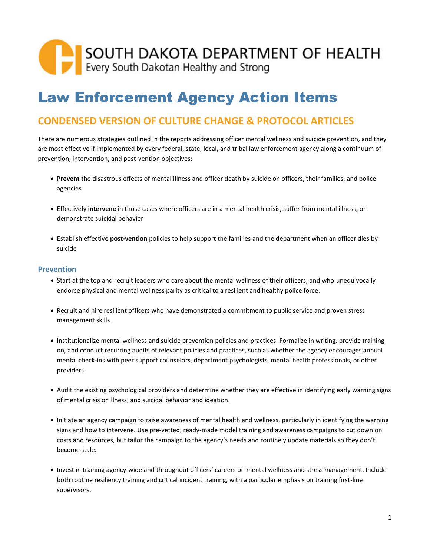# SOUTH DAKOTA DEPARTMENT OF HEALTH

## Law Enforcement Agency Action Items

### **CONDENSED VERSION OF CULTURE CHANGE & PROTOCOL ARTICLES**

There are numerous strategies outlined in the reports addressing officer mental wellness and suicide prevention, and they are most effective if implemented by every federal, state, local, and tribal law enforcement agency along a continuum of prevention, intervention, and post-vention objectives:

- **Prevent** the disastrous effects of mental illness and officer death by suicide on officers, their families, and police agencies
- Effectively **intervene** in those cases where officers are in a mental health crisis, suffer from mental illness, or demonstrate suicidal behavior
- Establish effective **post-vention** policies to help support the families and the department when an officer dies by suicide

#### **Prevention**

- Start at the top and recruit leaders who care about the mental wellness of their officers, and who unequivocally endorse physical and mental wellness parity as critical to a resilient and healthy police force.
- Recruit and hire resilient officers who have demonstrated a commitment to public service and proven stress management skills.
- Institutionalize mental wellness and suicide prevention policies and practices. Formalize in writing, provide training on, and conduct recurring audits of relevant policies and practices, such as whether the agency encourages annual mental check-ins with peer support counselors, department psychologists, mental health professionals, or other providers.
- Audit the existing psychological providers and determine whether they are effective in identifying early warning signs of mental crisis or illness, and suicidal behavior and ideation.
- Initiate an agency campaign to raise awareness of mental health and wellness, particularly in identifying the warning signs and how to intervene. Use pre-vetted, ready-made model training and awareness campaigns to cut down on costs and resources, but tailor the campaign to the agency's needs and routinely update materials so they don't become stale.
- Invest in training agency-wide and throughout officers' careers on mental wellness and stress management. Include both routine resiliency training and critical incident training, with a particular emphasis on training first-line supervisors.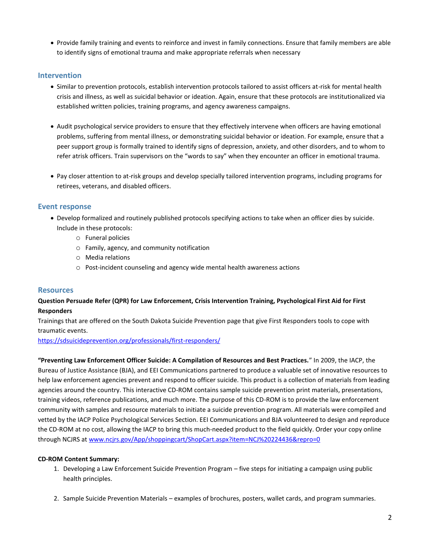• Provide family training and events to reinforce and invest in family connections. Ensure that family members are able to identify signs of emotional trauma and make appropriate referrals when necessary

#### **Intervention**

- Similar to prevention protocols, establish intervention protocols tailored to assist officers at-risk for mental health crisis and illness, as well as suicidal behavior or ideation. Again, ensure that these protocols are institutionalized via established written policies, training programs, and agency awareness campaigns.
- Audit psychological service providers to ensure that they effectively intervene when officers are having emotional problems, suffering from mental illness, or demonstrating suicidal behavior or ideation. For example, ensure that a peer support group is formally trained to identify signs of depression, anxiety, and other disorders, and to whom to refer atrisk officers. Train supervisors on the "words to say" when they encounter an officer in emotional trauma.
- Pay closer attention to at-risk groups and develop specially tailored intervention programs, including programs for retirees, veterans, and disabled officers.

#### **Event response**

- Develop formalized and routinely published protocols specifying actions to take when an officer dies by suicide. Include in these protocols:
	- o Funeral policies
	- o Family, agency, and community notification
	- o Media relations
	- o Post-incident counseling and agency wide mental health awareness actions

#### **Resources**

#### **Question Persuade Refer (QPR) for Law Enforcement, Crisis Intervention Training, Psychological First Aid for First Responders**

Trainings that are offered on the South Dakota Suicide Prevention page that give First Responders tools to cope with traumatic events.

<https://sdsuicideprevention.org/professionals/first-responders/>

**"Preventing Law Enforcement Officer Suicide: A Compilation of Resources and Best Practices.**" In 2009, the IACP, the Bureau of Justice Assistance (BJA), and EEI Communications partnered to produce a valuable set of innovative resources to help law enforcement agencies prevent and respond to officer suicide. This product is a collection of materials from leading agencies around the country. This interactive CD-ROM contains sample suicide prevention print materials, presentations, training videos, reference publications, and much more. The purpose of this CD-ROM is to provide the law enforcement community with samples and resource materials to initiate a suicide prevention program. All materials were compiled and vetted by the IACP Police Psychological Services Section. EEI Communications and BJA volunteered to design and reproduce the CD-ROM at no cost, allowing the IACP to bring this much-needed product to the field quickly. Order your copy online through NCJRS a[t www.ncjrs.gov/App/shoppingcart/ShopCart.aspx?item=NCJ%20224436&repro=0](http://www.ncjrs.gov/App/shoppingcart/ShopCart.aspx?item=NCJ%20224436&repro=0)

#### **CD-ROM Content Summary:**

- 1. Developing a Law Enforcement Suicide Prevention Program five steps for initiating a campaign using public health principles.
- 2. Sample Suicide Prevention Materials examples of brochures, posters, wallet cards, and program summaries.